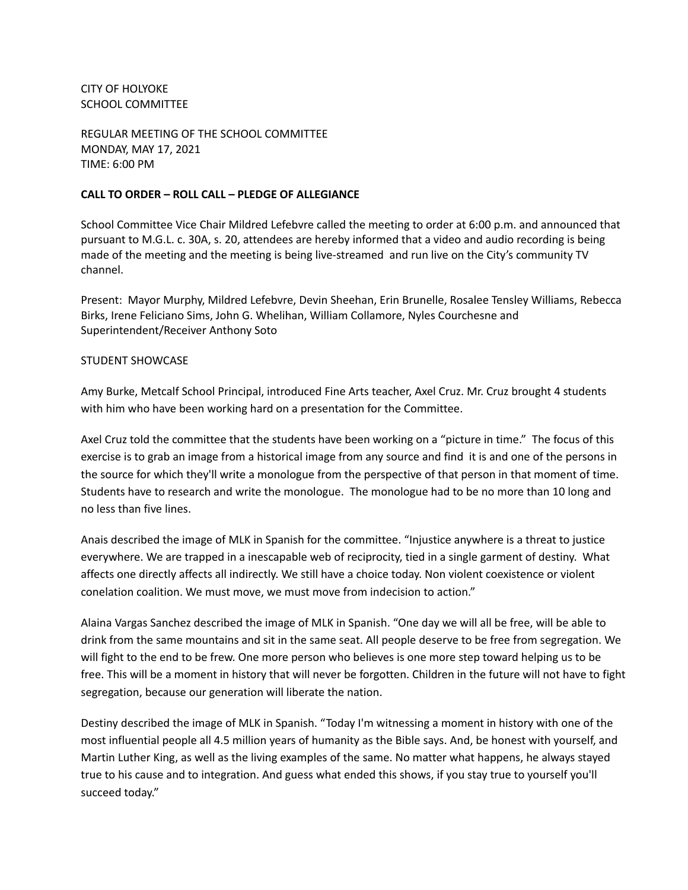CITY OF HOLYOKE SCHOOL COMMITTEE

REGULAR MEETING OF THE SCHOOL COMMITTEE MONDAY, MAY 17, 2021 TIME: 6:00 PM

### **CALL TO ORDER – ROLL CALL – PLEDGE OF ALLEGIANCE**

School Committee Vice Chair Mildred Lefebvre called the meeting to order at 6:00 p.m. and announced that pursuant to M.G.L. c. 30A, s. 20, attendees are hereby informed that a video and audio recording is being made of the meeting and the meeting is being live-streamed and run live on the City's community TV channel.

Present: Mayor Murphy, Mildred Lefebvre, Devin Sheehan, Erin Brunelle, Rosalee Tensley Williams, Rebecca Birks, Irene Feliciano Sims, John G. Whelihan, William Collamore, Nyles Courchesne and Superintendent/Receiver Anthony Soto

### STUDENT SHOWCASE

Amy Burke, Metcalf School Principal, introduced Fine Arts teacher, Axel Cruz. Mr. Cruz brought 4 students with him who have been working hard on a presentation for the Committee.

Axel Cruz told the committee that the students have been working on a "picture in time." The focus of this exercise is to grab an image from a historical image from any source and find it is and one of the persons in the source for which they'll write a monologue from the perspective of that person in that moment of time. Students have to research and write the monologue. The monologue had to be no more than 10 long and no less than five lines.

Anais described the image of MLK in Spanish for the committee. "Injustice anywhere is a threat to justice everywhere. We are trapped in a inescapable web of reciprocity, tied in a single garment of destiny. What affects one directly affects all indirectly. We still have a choice today. Non violent coexistence or violent conelation coalition. We must move, we must move from indecision to action."

Alaina Vargas Sanchez described the image of MLK in Spanish. "One day we will all be free, will be able to drink from the same mountains and sit in the same seat. All people deserve to be free from segregation. We will fight to the end to be frew. One more person who believes is one more step toward helping us to be free. This will be a moment in history that will never be forgotten. Children in the future will not have to fight segregation, because our generation will liberate the nation.

Destiny described the image of MLK in Spanish. "Today I'm witnessing a moment in history with one of the most influential people all 4.5 million years of humanity as the Bible says. And, be honest with yourself, and Martin Luther King, as well as the living examples of the same. No matter what happens, he always stayed true to his cause and to integration. And guess what ended this shows, if you stay true to yourself you'll succeed today."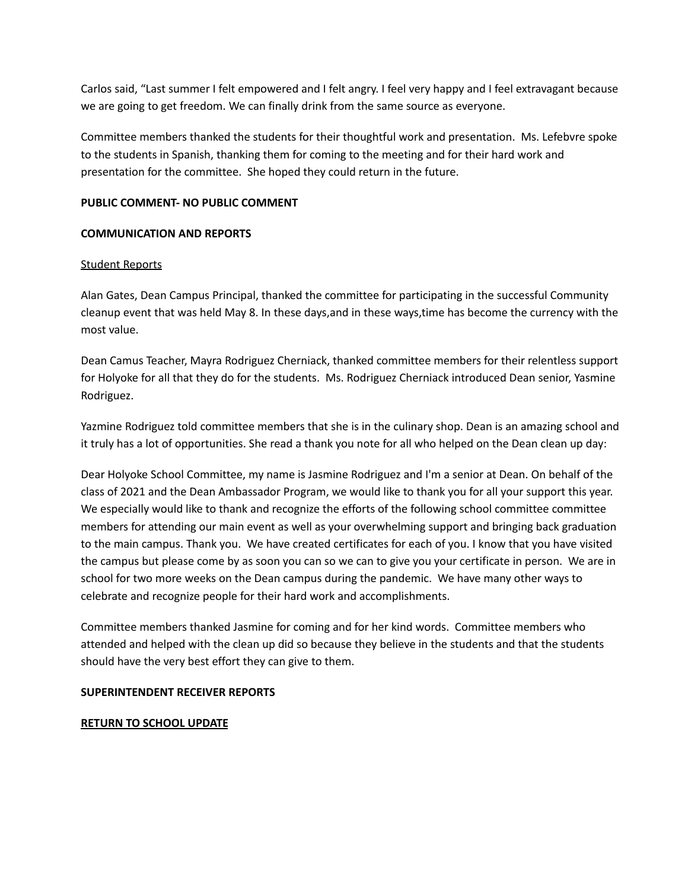Carlos said, "Last summer I felt empowered and I felt angry. I feel very happy and I feel extravagant because we are going to get freedom. We can finally drink from the same source as everyone.

Committee members thanked the students for their thoughtful work and presentation. Ms. Lefebvre spoke to the students in Spanish, thanking them for coming to the meeting and for their hard work and presentation for the committee. She hoped they could return in the future.

# **PUBLIC COMMENT- NO PUBLIC COMMENT**

# **COMMUNICATION AND REPORTS**

### Student Reports

Alan Gates, Dean Campus Principal, thanked the committee for participating in the successful Community cleanup event that was held May 8. In these days,and in these ways,time has become the currency with the most value.

Dean Camus Teacher, Mayra Rodriguez Cherniack, thanked committee members for their relentless support for Holyoke for all that they do for the students. Ms. Rodriguez Cherniack introduced Dean senior, Yasmine Rodriguez.

Yazmine Rodriguez told committee members that she is in the culinary shop. Dean is an amazing school and it truly has a lot of opportunities. She read a thank you note for all who helped on the Dean clean up day:

Dear Holyoke School Committee, my name is Jasmine Rodriguez and I'm a senior at Dean. On behalf of the class of 2021 and the Dean Ambassador Program, we would like to thank you for all your support this year. We especially would like to thank and recognize the efforts of the following school committee committee members for attending our main event as well as your overwhelming support and bringing back graduation to the main campus. Thank you. We have created certificates for each of you. I know that you have visited the campus but please come by as soon you can so we can to give you your certificate in person. We are in school for two more weeks on the Dean campus during the pandemic. We have many other ways to celebrate and recognize people for their hard work and accomplishments.

Committee members thanked Jasmine for coming and for her kind words. Committee members who attended and helped with the clean up did so because they believe in the students and that the students should have the very best effort they can give to them.

# **SUPERINTENDENT RECEIVER REPORTS**

#### **RETURN TO SCHOOL UPDATE**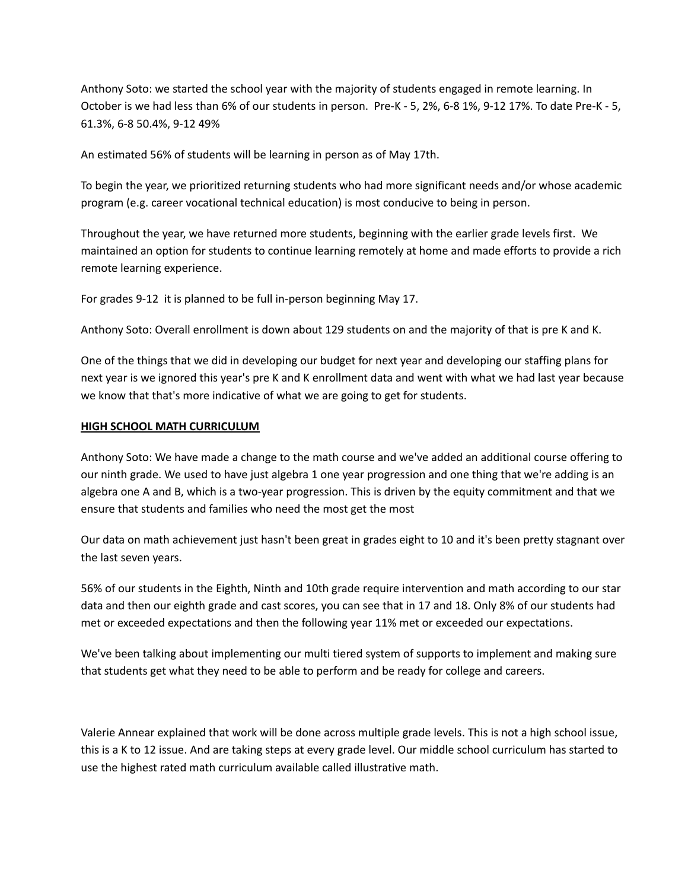Anthony Soto: we started the school year with the majority of students engaged in remote learning. In October is we had less than 6% of our students in person. Pre-K - 5, 2%, 6-8 1%, 9-12 17%. To date Pre-K - 5, 61.3%, 6-8 50.4%, 9-12 49%

An estimated 56% of students will be learning in person as of May 17th.

To begin the year, we prioritized returning students who had more significant needs and/or whose academic program (e.g. career vocational technical education) is most conducive to being in person.

Throughout the year, we have returned more students, beginning with the earlier grade levels first. We maintained an option for students to continue learning remotely at home and made efforts to provide a rich remote learning experience.

For grades 9-12 it is planned to be full in-person beginning May 17.

Anthony Soto: Overall enrollment is down about 129 students on and the majority of that is pre K and K.

One of the things that we did in developing our budget for next year and developing our staffing plans for next year is we ignored this year's pre K and K enrollment data and went with what we had last year because we know that that's more indicative of what we are going to get for students.

# **HIGH SCHOOL MATH CURRICULUM**

Anthony Soto: We have made a change to the math course and we've added an additional course offering to our ninth grade. We used to have just algebra 1 one year progression and one thing that we're adding is an algebra one A and B, which is a two-year progression. This is driven by the equity commitment and that we ensure that students and families who need the most get the most

Our data on math achievement just hasn't been great in grades eight to 10 and it's been pretty stagnant over the last seven years.

56% of our students in the Eighth, Ninth and 10th grade require intervention and math according to our star data and then our eighth grade and cast scores, you can see that in 17 and 18. Only 8% of our students had met or exceeded expectations and then the following year 11% met or exceeded our expectations.

We've been talking about implementing our multi tiered system of supports to implement and making sure that students get what they need to be able to perform and be ready for college and careers.

Valerie Annear explained that work will be done across multiple grade levels. This is not a high school issue, this is a K to 12 issue. And are taking steps at every grade level. Our middle school curriculum has started to use the highest rated math curriculum available called illustrative math.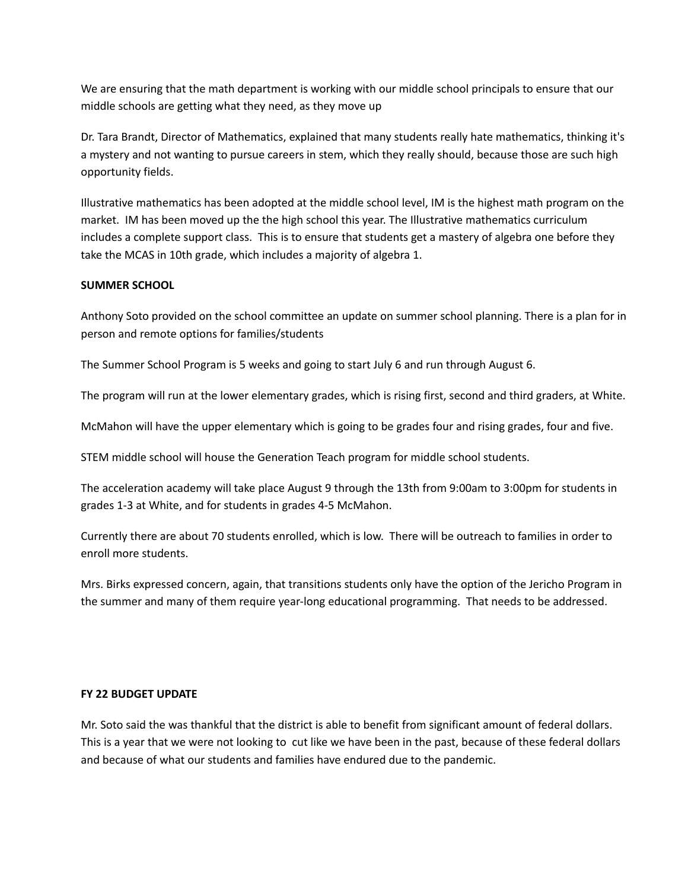We are ensuring that the math department is working with our middle school principals to ensure that our middle schools are getting what they need, as they move up

Dr. Tara Brandt, Director of Mathematics, explained that many students really hate mathematics, thinking it's a mystery and not wanting to pursue careers in stem, which they really should, because those are such high opportunity fields.

Illustrative mathematics has been adopted at the middle school level, IM is the highest math program on the market. IM has been moved up the the high school this year. The Illustrative mathematics curriculum includes a complete support class. This is to ensure that students get a mastery of algebra one before they take the MCAS in 10th grade, which includes a majority of algebra 1.

### **SUMMER SCHOOL**

Anthony Soto provided on the school committee an update on summer school planning. There is a plan for in person and remote options for families/students

The Summer School Program is 5 weeks and going to start July 6 and run through August 6.

The program will run at the lower elementary grades, which is rising first, second and third graders, at White.

McMahon will have the upper elementary which is going to be grades four and rising grades, four and five.

STEM middle school will house the Generation Teach program for middle school students.

The acceleration academy will take place August 9 through the 13th from 9:00am to 3:00pm for students in grades 1-3 at White, and for students in grades 4-5 McMahon.

Currently there are about 70 students enrolled, which is low. There will be outreach to families in order to enroll more students.

Mrs. Birks expressed concern, again, that transitions students only have the option of the Jericho Program in the summer and many of them require year-long educational programming. That needs to be addressed.

#### **FY 22 BUDGET UPDATE**

Mr. Soto said the was thankful that the district is able to benefit from significant amount of federal dollars. This is a year that we were not looking to cut like we have been in the past, because of these federal dollars and because of what our students and families have endured due to the pandemic.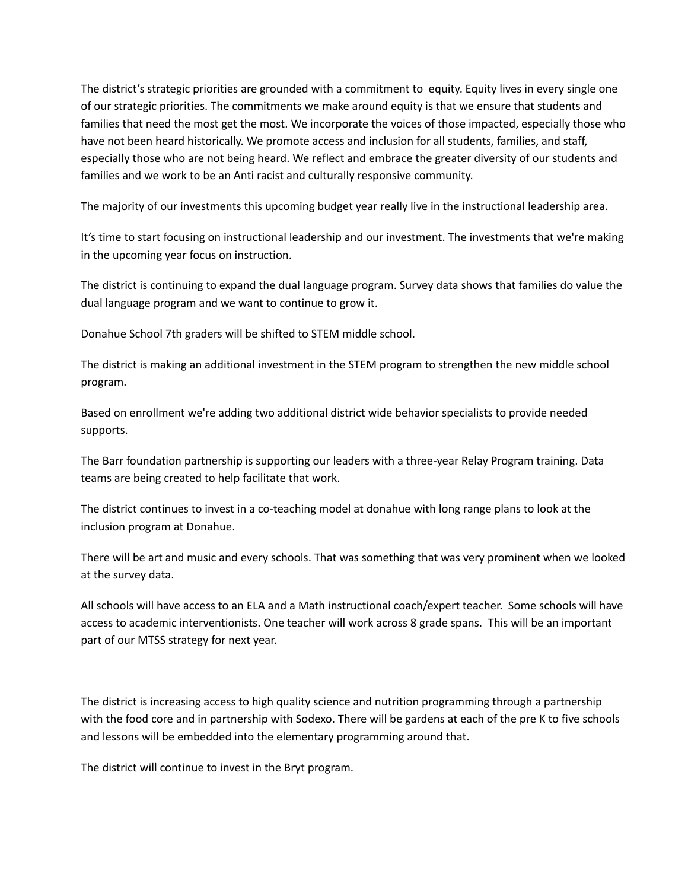The district's strategic priorities are grounded with a commitment to equity. Equity lives in every single one of our strategic priorities. The commitments we make around equity is that we ensure that students and families that need the most get the most. We incorporate the voices of those impacted, especially those who have not been heard historically. We promote access and inclusion for all students, families, and staff, especially those who are not being heard. We reflect and embrace the greater diversity of our students and families and we work to be an Anti racist and culturally responsive community.

The majority of our investments this upcoming budget year really live in the instructional leadership area.

It's time to start focusing on instructional leadership and our investment. The investments that we're making in the upcoming year focus on instruction.

The district is continuing to expand the dual language program. Survey data shows that families do value the dual language program and we want to continue to grow it.

Donahue School 7th graders will be shifted to STEM middle school.

The district is making an additional investment in the STEM program to strengthen the new middle school program.

Based on enrollment we're adding two additional district wide behavior specialists to provide needed supports.

The Barr foundation partnership is supporting our leaders with a three-year Relay Program training. Data teams are being created to help facilitate that work.

The district continues to invest in a co-teaching model at donahue with long range plans to look at the inclusion program at Donahue.

There will be art and music and every schools. That was something that was very prominent when we looked at the survey data.

All schools will have access to an ELA and a Math instructional coach/expert teacher. Some schools will have access to academic interventionists. One teacher will work across 8 grade spans. This will be an important part of our MTSS strategy for next year.

The district is increasing access to high quality science and nutrition programming through a partnership with the food core and in partnership with Sodexo. There will be gardens at each of the pre K to five schools and lessons will be embedded into the elementary programming around that.

The district will continue to invest in the Bryt program.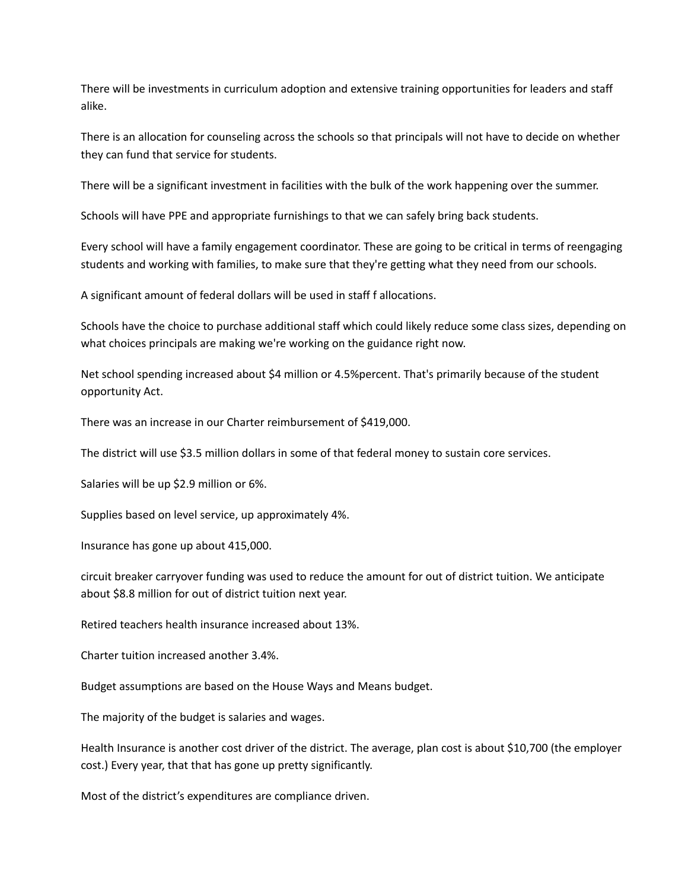There will be investments in curriculum adoption and extensive training opportunities for leaders and staff alike.

There is an allocation for counseling across the schools so that principals will not have to decide on whether they can fund that service for students.

There will be a significant investment in facilities with the bulk of the work happening over the summer.

Schools will have PPE and appropriate furnishings to that we can safely bring back students.

Every school will have a family engagement coordinator. These are going to be critical in terms of reengaging students and working with families, to make sure that they're getting what they need from our schools.

A significant amount of federal dollars will be used in staff f allocations.

Schools have the choice to purchase additional staff which could likely reduce some class sizes, depending on what choices principals are making we're working on the guidance right now.

Net school spending increased about \$4 million or 4.5%percent. That's primarily because of the student opportunity Act.

There was an increase in our Charter reimbursement of \$419,000.

The district will use \$3.5 million dollars in some of that federal money to sustain core services.

Salaries will be up \$2.9 million or 6%.

Supplies based on level service, up approximately 4%.

Insurance has gone up about 415,000.

circuit breaker carryover funding was used to reduce the amount for out of district tuition. We anticipate about \$8.8 million for out of district tuition next year.

Retired teachers health insurance increased about 13%.

Charter tuition increased another 3.4%.

Budget assumptions are based on the House Ways and Means budget.

The majority of the budget is salaries and wages.

Health Insurance is another cost driver of the district. The average, plan cost is about \$10,700 (the employer cost.) Every year, that that has gone up pretty significantly.

Most of the district's expenditures are compliance driven.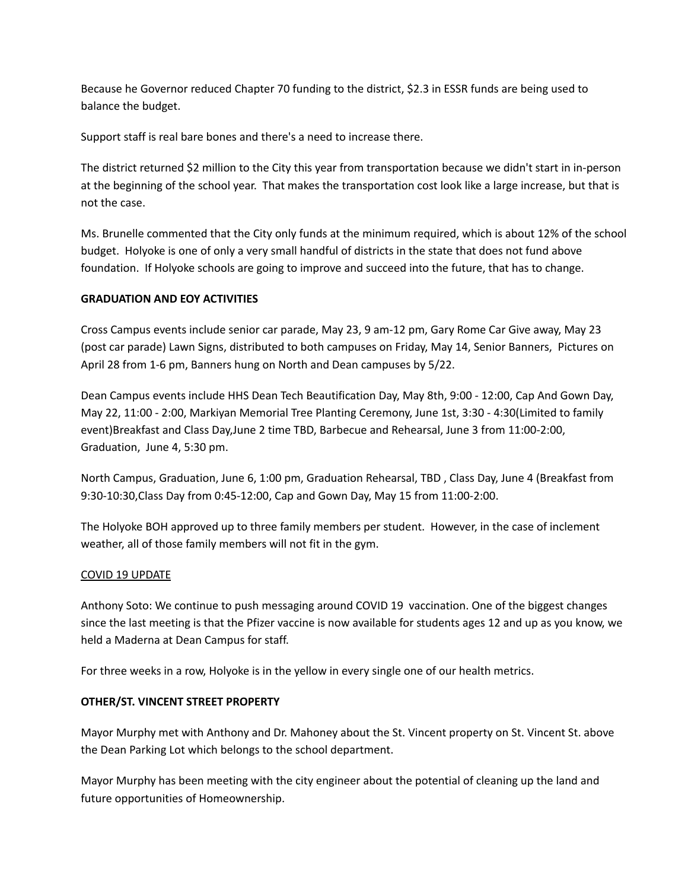Because he Governor reduced Chapter 70 funding to the district, \$2.3 in ESSR funds are being used to balance the budget.

Support staff is real bare bones and there's a need to increase there.

The district returned \$2 million to the City this year from transportation because we didn't start in in-person at the beginning of the school year. That makes the transportation cost look like a large increase, but that is not the case.

Ms. Brunelle commented that the City only funds at the minimum required, which is about 12% of the school budget. Holyoke is one of only a very small handful of districts in the state that does not fund above foundation. If Holyoke schools are going to improve and succeed into the future, that has to change.

# **GRADUATION AND EOY ACTIVITIES**

Cross Campus events include senior car parade, May 23, 9 am-12 pm, Gary Rome Car Give away, May 23 (post car parade) Lawn Signs, distributed to both campuses on Friday, May 14, Senior Banners, Pictures on April 28 from 1-6 pm, Banners hung on North and Dean campuses by 5/22.

Dean Campus events include HHS Dean Tech Beautification Day, May 8th, 9:00 - 12:00, Cap And Gown Day, May 22, 11:00 - 2:00, Markiyan Memorial Tree Planting Ceremony, June 1st, 3:30 - 4:30(Limited to family event)Breakfast and Class Day,June 2 time TBD, Barbecue and Rehearsal, June 3 from 11:00-2:00, Graduation, June 4, 5:30 pm.

North Campus, Graduation, June 6, 1:00 pm, Graduation Rehearsal, TBD , Class Day, June 4 (Breakfast from 9:30-10:30,Class Day from 0:45-12:00, Cap and Gown Day, May 15 from 11:00-2:00.

The Holyoke BOH approved up to three family members per student. However, in the case of inclement weather, all of those family members will not fit in the gym.

# COVID 19 UPDATE

Anthony Soto: We continue to push messaging around COVID 19 vaccination. One of the biggest changes since the last meeting is that the Pfizer vaccine is now available for students ages 12 and up as you know, we held a Maderna at Dean Campus for staff.

For three weeks in a row, Holyoke is in the yellow in every single one of our health metrics.

# **OTHER/ST. VINCENT STREET PROPERTY**

Mayor Murphy met with Anthony and Dr. Mahoney about the St. Vincent property on St. Vincent St. above the Dean Parking Lot which belongs to the school department.

Mayor Murphy has been meeting with the city engineer about the potential of cleaning up the land and future opportunities of Homeownership.